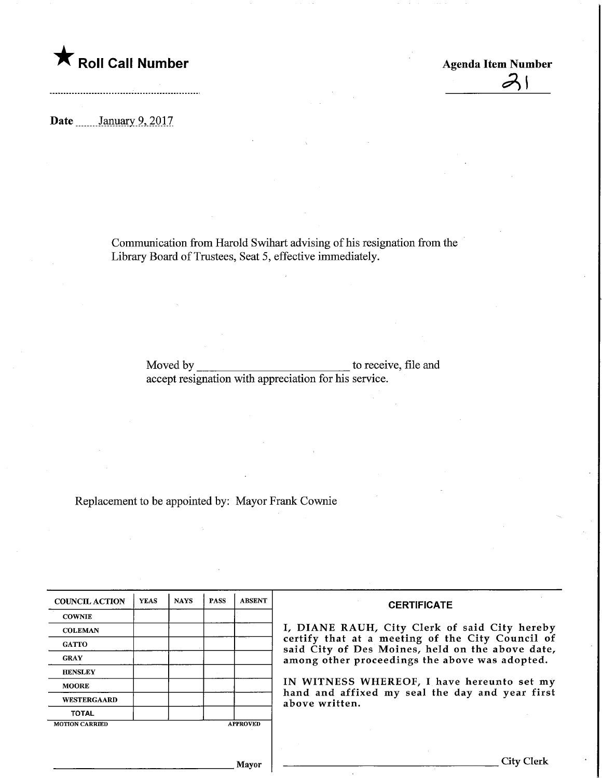**The Soli Call Number Agents Collection** Agenda Item Number

Date ........January 9, 2017

Communication from Harold Swihart advising of his resignation from the Library Board of Trustees, Seat 5, effective immediately.

Moved by accept resignation with appreciation for his service. to receive, file and

Replacement to be appointed by: Mayor Frank Cownie

| <b>COUNCIL ACTION</b> | <b>YEAS</b> | <b>NAYS</b> | <b>PASS</b> | <b>ABSENT</b>   | <b>CERTIFICATE</b>                                                                                   |
|-----------------------|-------------|-------------|-------------|-----------------|------------------------------------------------------------------------------------------------------|
| <b>COWNIE</b>         |             |             |             |                 |                                                                                                      |
| <b>COLEMAN</b>        |             |             |             |                 | I, DIANE RAUH, City Clerk of said City hereby                                                        |
| <b>GATTO</b>          |             |             |             |                 | certify that at a meeting of the City Council of<br>said City of Des Moines, held on the above date, |
| <b>GRAY</b>           |             |             |             |                 | among other proceedings the above was adopted.                                                       |
| <b>HENSLEY</b>        |             |             |             |                 |                                                                                                      |
| <b>MOORE</b>          |             |             |             |                 | IN WITNESS WHEREOF, I have hereunto set my                                                           |
| <b>WESTERGAARD</b>    |             |             |             |                 | hand and affixed my seal the day and year first<br>above written.                                    |
| <b>TOTAL</b>          |             |             |             |                 |                                                                                                      |
| <b>MOTION CARRIED</b> |             |             |             | <b>APPROVED</b> |                                                                                                      |
|                       |             |             |             |                 |                                                                                                      |
|                       |             |             |             |                 |                                                                                                      |
|                       |             |             |             | Mayor           | City Clerk                                                                                           |

 $\mathcal{Z}$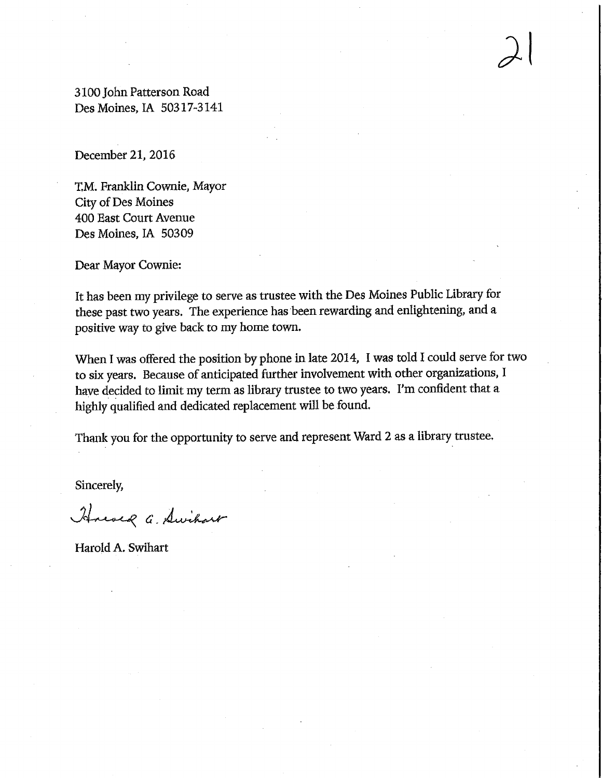3100 John Patterson Road DesMoines,IA 50317-3141

December 21, 2016

T,M. Franklin Cownie, Mayor City of Des Moines 400 East Court Avenue Des Moines, IA 50309

Dear Mayor Cownie:

It has been my privilege to serve as trustee with the Des Moines Public Library for these past two years. The experience has been rewarding and enlightening, and a positive way to give back to my home town.

 $\lambda$ 

When I was offered the position by phone in late 2014, I was told I could serve for two to six years. Because of anticipated further involvement with other organizations, I have decided to limit my term as library trustee to two years. I'm confident that a highly qualified and dedicated replacement will be found.

Thank you for the opportunity to serve and represent Ward 2 as a library trustee.

Sincerely,

House a. Swihart

Harold A. Swihart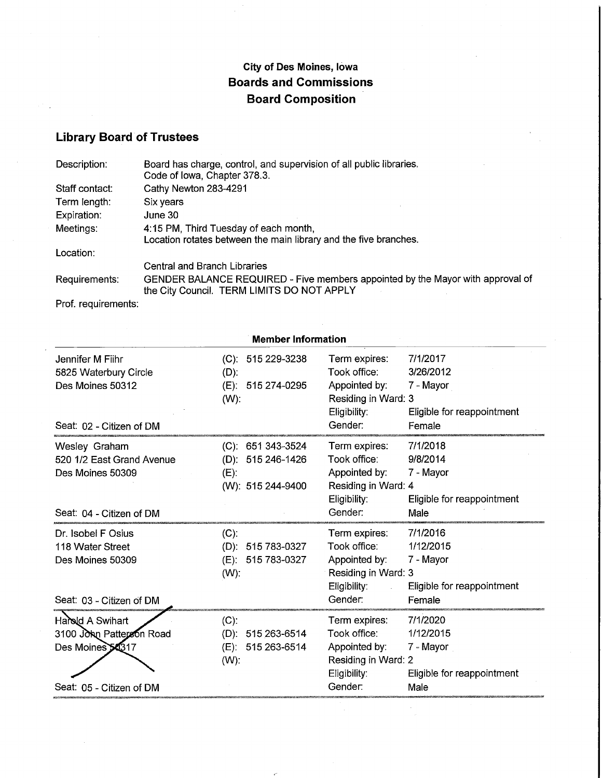## City of Des Moines, Iowa Boards and Commissions Board Composition

Library Board of Trustees

| Description:   | Board has charge, control, and supervision of all public libraries.<br>Code of Iowa, Chapter 378.3.                          |  |  |  |  |
|----------------|------------------------------------------------------------------------------------------------------------------------------|--|--|--|--|
| Staff contact: | Cathy Newton 283-4291                                                                                                        |  |  |  |  |
| Term length:   | Six years                                                                                                                    |  |  |  |  |
| Expiration:    | June 30                                                                                                                      |  |  |  |  |
| Meetings:      | 4:15 PM, Third Tuesday of each month,<br>Location rotates between the main library and the five branches.                    |  |  |  |  |
| Location:      |                                                                                                                              |  |  |  |  |
|                | Central and Branch Libraries                                                                                                 |  |  |  |  |
| Requirements:  | GENDER BALANCE REQUIRED - Five members appointed by the Mayor with approval of<br>the City Council. TERM LIMITS DO NOT APPLY |  |  |  |  |

Prof. requirements:

| <b>Member Information</b>                                                                    |                                                                      |                                                                                                                   |                                                                          |  |  |  |  |
|----------------------------------------------------------------------------------------------|----------------------------------------------------------------------|-------------------------------------------------------------------------------------------------------------------|--------------------------------------------------------------------------|--|--|--|--|
| Jennifer M Fiihr<br>5825 Waterbury Circle<br>Des Moines 50312                                | $(C): 51529-3238$<br>$(D)$ :<br>(E): 515 274-0295<br>$(W)$ :         | Term expires:<br>Took office:<br>Appointed by:<br>Residing in Ward: 3<br>Eligibility:                             | 7/1/2017<br>3/26/2012<br>7 - Mayor<br>Eligible for reappointment         |  |  |  |  |
| Seat: 02 - Citizen of DM                                                                     |                                                                      | Gender:                                                                                                           | Female                                                                   |  |  |  |  |
| Wesley Graham<br>520 1/2 East Grand Avenue<br>Des Moines 50309                               | $(C): 651343-3524$<br>(D): 515 246-1426<br>(E):<br>(W): 515 244-9400 | Term expires:<br>Took office:<br>Appointed by:<br>Residing in Ward: 4<br>Eligibility:                             | 7/1/2018<br>9/8/2014<br>7 - Mayor<br>Eligible for reappointment          |  |  |  |  |
| Seat: 04 - Citizen of DM                                                                     |                                                                      | Gender:                                                                                                           | Male                                                                     |  |  |  |  |
| Dr. Isobel F Osius<br>118 Water Street<br>Des Moines 50309                                   | (C).<br>(D): 515 783-0327<br>515 783-0327<br>(E):<br>$(W)$ :         | Term expires:<br>Took office:<br>Appointed by:<br>Residing in Ward: 3<br>Eligibility:<br>$\mathcal{L}_{\rm{max}}$ | 7/1/2016<br>1/12/2015<br>7 - Mayor<br>Eligible for reappointment         |  |  |  |  |
| Seat: 03 - Citizen of DM                                                                     |                                                                      | Gender:                                                                                                           | Female                                                                   |  |  |  |  |
| Harold A Swihart<br>3100 John Patterson Road<br>Des Moines 54317<br>Seat: 05 - Citizen of DM | $(C)$ :<br>(D): 515 263-6514<br>(E): 515 263-6514<br>$(W)$ :         | Term expires:<br>Took office:<br>Appointed by:<br>Residing in Ward: 2<br>Eligibility:<br>Gender:                  | 7/1/2020<br>1/12/2015<br>7 - Mayor<br>Eligible for reappointment<br>Male |  |  |  |  |